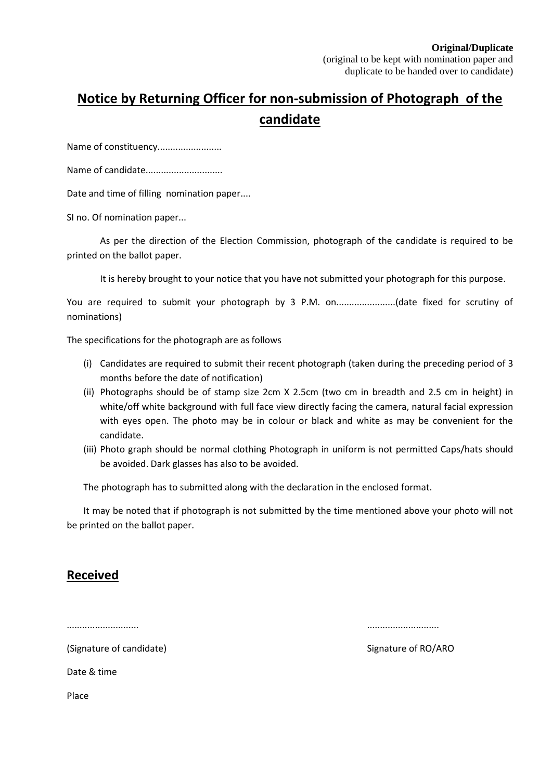## **Notice by Returning Officer for non-submission of Photograph of the candidate**

Name of constituency..........................

Name of candidate..............................

Date and time of filling nomination paper....

SI no. Of nomination paper...

As per the direction of the Election Commission, photograph of the candidate is required to be printed on the ballot paper.

It is hereby brought to your notice that you have not submitted your photograph for this purpose.

You are required to submit your photograph by 3 P.M. on..........................(date fixed for scrutiny of nominations)

The specifications for the photograph are as follows

- (i) Candidates are required to submit their recent photograph (taken during the preceding period of 3 months before the date of notification)
- (ii) Photographs should be of stamp size 2cm X 2.5cm (two cm in breadth and 2.5 cm in height) in white/off white background with full face view directly facing the camera, natural facial expression with eyes open. The photo may be in colour or black and white as may be convenient for the candidate.
- (iii) Photo graph should be normal clothing Photograph in uniform is not permitted Caps/hats should be avoided. Dark glasses has also to be avoided.

The photograph has to submitted along with the declaration in the enclosed format.

It may be noted that if photograph is not submitted by the time mentioned above your photo will not be printed on the ballot paper.

#### **Received**

............................ ............................

(Signature of candidate) Signature of RO/ARO

Date & time

Place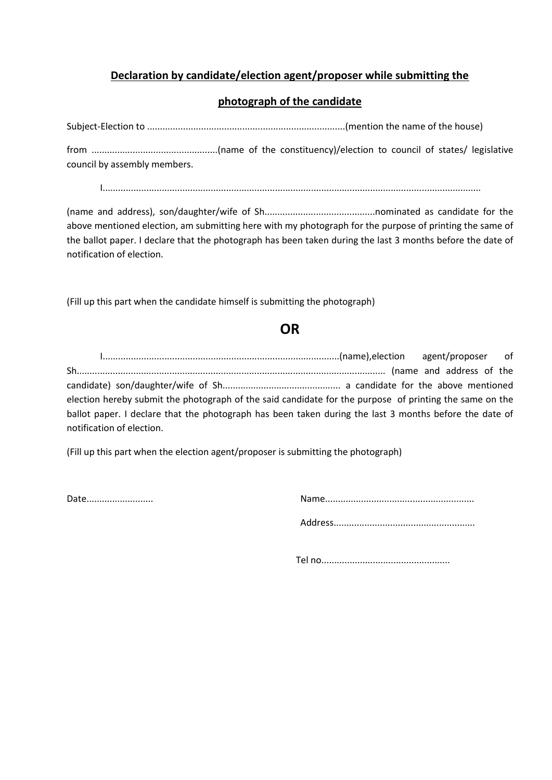#### **Declaration by candidate/election agent/proposer while submitting the**

#### **photograph of the candidate**

Subject-Election to .............................................................................(mention the name of the house)

from .................................................(name of the constituency)/election to council of states/ legislative council by assembly members.

I...................................................................................................................................................

(name and address), son/daughter/wife of Sh...........................................nominated as candidate for the above mentioned election, am submitting here with my photograph for the purpose of printing the same of the ballot paper. I declare that the photograph has been taken during the last 3 months before the date of notification of election.

(Fill up this part when the candidate himself is submitting the photograph)

## **OR**

I............................................................................................(name),election agent/proposer of Sh........................................................................................................................ (name and address of the candidate) son/daughter/wife of Sh.............................................. a candidate for the above mentioned election hereby submit the photograph of the said candidate for the purpose of printing the same on the ballot paper. I declare that the photograph has been taken during the last 3 months before the date of notification of election.

(Fill up this part when the election agent/proposer is submitting the photograph)

Date.......................... Name..........................................................

Address.......................................................

Tel no..................................................